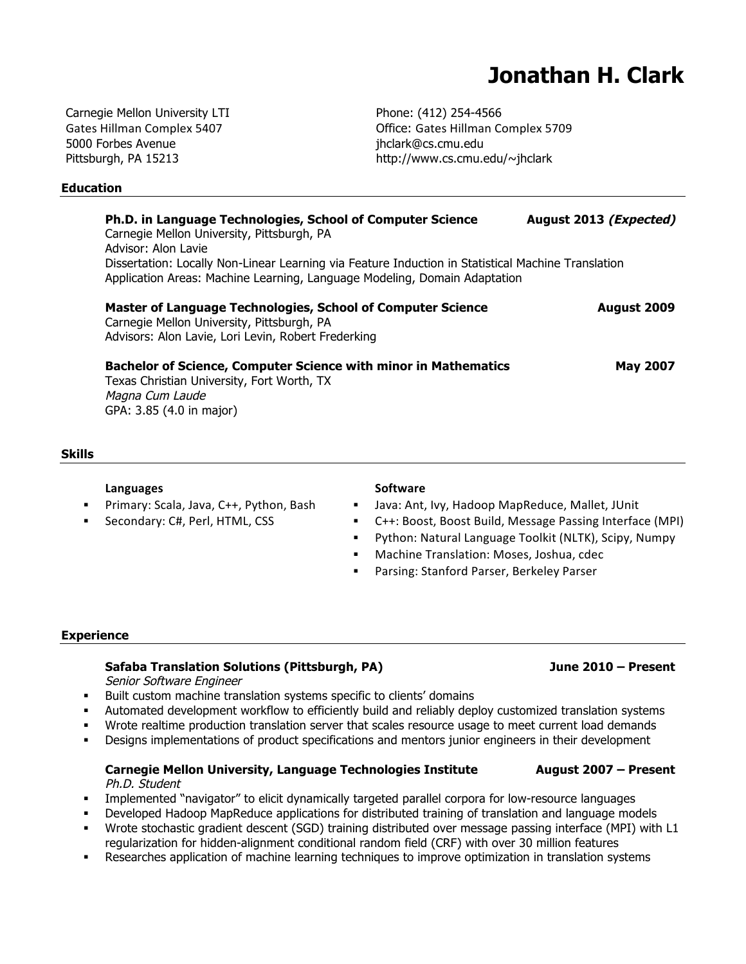# **Jonathan H. Clark**

Carnegie Mellon University LTI Gates
Hillman
Complex
5407 5000 Forbes Avenue Pittsburgh, PA 15213

## **Education**

Phone: (412) 254-4566 Office: Gates
Hillman
Complex
5709 jhclark@cs.cmu.edu http://www.cs.cmu.edu/~jhclark

|                                                                                                                                                                                 | Ph.D. in Language Technologies, School of Computer Science<br>Carnegie Mellon University, Pittsburgh, PA<br>Advisor: Alon Lavie                                         | August 2013 (Expected) |
|---------------------------------------------------------------------------------------------------------------------------------------------------------------------------------|-------------------------------------------------------------------------------------------------------------------------------------------------------------------------|------------------------|
| Dissertation: Locally Non-Linear Learning via Feature Induction in Statistical Machine Translation<br>Application Areas: Machine Learning, Language Modeling, Domain Adaptation |                                                                                                                                                                         |                        |
|                                                                                                                                                                                 | <b>Master of Language Technologies, School of Computer Science</b><br>Carnegie Mellon University, Pittsburgh, PA<br>Advisors: Alon Lavie, Lori Levin, Robert Frederking | August 2009            |
|                                                                                                                                                                                 | <b>Bachelor of Science, Computer Science with minor in Mathematics</b><br>Texas Christian University, Fort Worth, TX<br>Magna Cum Laude<br>GPA: 3.85 (4.0 in major)     | <b>May 2007</b>        |

## **Skills**

### **Languages**

Primary: Scala, Java, C++, Python, Bash

Secondary: C#, Perl, HTML, CSS

### **Software**

- Java:
Ant,
Ivy,
Hadoop
MapReduce,
Mallet,
JUnit
- C++:
Boost,
Boost
Build,
Message
Passing
Interface
(MPI)
- **•** Python: Natural Language Toolkit (NLTK), Scipy, Numpy
- Machine
Translation:
Moses,
Joshua,
cdec
- **Parsing: Stanford Parser, Berkeley Parser**

### **Experience**

## **Safaba Translation Solutions (Pittsburgh, PA) June 2010 – Present**

Senior Software Engineer

- **Built custom machine translation systems specific to clients' domains**
- Automated development workflow to efficiently build and reliably deploy customized translation systems
- Wrote realtime production translation server that scales resource usage to meet current load demands
- Designs implementations of product specifications and mentors junior engineers in their development

## **Carnegie Mellon University, Language Technologies Institute August 2007 – Present** Ph.D. Student

- Implemented "navigator" to elicit dynamically targeted parallel corpora for low-resource languages
- Developed Hadoop MapReduce applications for distributed training of translation and language models
- Wrote stochastic gradient descent (SGD) training distributed over message passing interface (MPI) with L1 regularization for hidden-alignment conditional random field (CRF) with over 30 million features
- Researches application of machine learning techniques to improve optimization in translation systems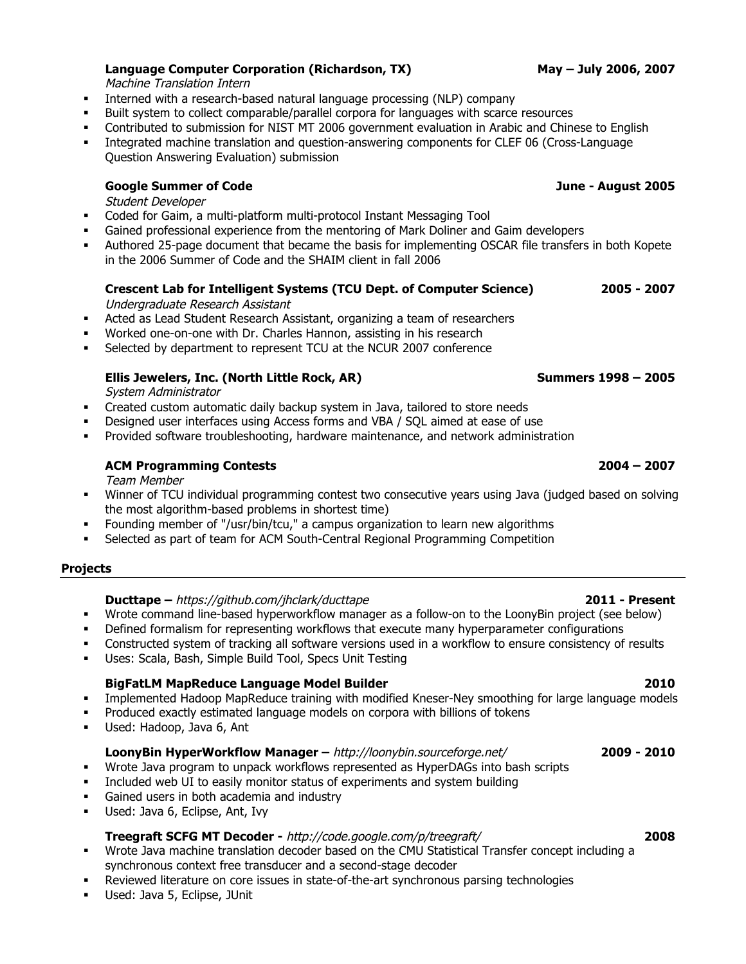Machine Translation Intern

- Interned with a research-based natural language processing (NLP) company
- Built system to collect comparable/parallel corpora for languages with scarce resources
- Contributed to submission for NIST MT 2006 government evaluation in Arabic and Chinese to English
- Integrated machine translation and question-answering components for CLEF 06 (Cross-Language Question Answering Evaluation) submission

## **Google Summer of Code June - August 2005**

Student Developer

- Coded for Gaim, a multi-platform multi-protocol Instant Messaging Tool
- Gained professional experience from the mentoring of Mark Doliner and Gaim developers
- Authored 25-page document that became the basis for implementing OSCAR file transfers in both Kopete in the 2006 Summer of Code and the SHAIM client in fall 2006

## **Crescent Lab for Intelligent Systems (TCU Dept. of Computer Science) 2005 - 2007**

Undergraduate Research Assistant

- Acted as Lead Student Research Assistant, organizing a team of researchers
- Worked one-on-one with Dr. Charles Hannon, assisting in his research
- Selected by department to represent TCU at the NCUR 2007 conference

## **Ellis Jewelers, Inc. (North Little Rock, AR) Summers 1998 – 2005**

System Administrator

- Created custom automatic daily backup system in Java, tailored to store needs
- Designed user interfaces using Access forms and VBA / SQL aimed at ease of use
- Provided software troubleshooting, hardware maintenance, and network administration

## **ACM Programming Contests 2004 – 2007**

Team Member

- Winner of TCU individual programming contest two consecutive years using Java (judged based on solving the most algorithm-based problems in shortest time)
- Founding member of "/usr/bin/tcu," a campus organization to learn new algorithms
- Selected as part of team for ACM South-Central Regional Programming Competition

## **Projects**

## **Ducttape –** https://github.com/jhclark/ducttape **2011 - Present**

- Wrote command line-based hyperworkflow manager as a follow-on to the LoonyBin project (see below)
- Defined formalism for representing workflows that execute many hyperparameter configurations
- Constructed system of tracking all software versions used in a workflow to ensure consistency of results
- Uses: Scala, Bash, Simple Build Tool, Specs Unit Testing

## **BigFatLM MapReduce Language Model Builder 2010**

**IMPLEM** Implemented Hadoop MapReduce training with modified Kneser-Ney smoothing for large language models

- Produced exactly estimated language models on corpora with billions of tokens
- Used: Hadoop, Java 6, Ant

## **LoonyBin HyperWorkflow Manager –** http://loonybin.sourceforge.net/ **2009 - 2010**

- Wrote Java program to unpack workflows represented as HyperDAGs into bash scripts
- Included web UI to easily monitor status of experiments and system building
- Gained users in both academia and industry
- Used: Java 6, Eclipse, Ant, Ivy

## **Treegraft SCFG MT Decoder -** http://code.google.com/p/treegraft/ **2008**

- Wrote Java machine translation decoder based on the CMU Statistical Transfer concept including a synchronous context free transducer and a second-stage decoder
- Reviewed literature on core issues in state-of-the-art synchronous parsing technologies
- **Used: Java 5, Eclipse, JUnit**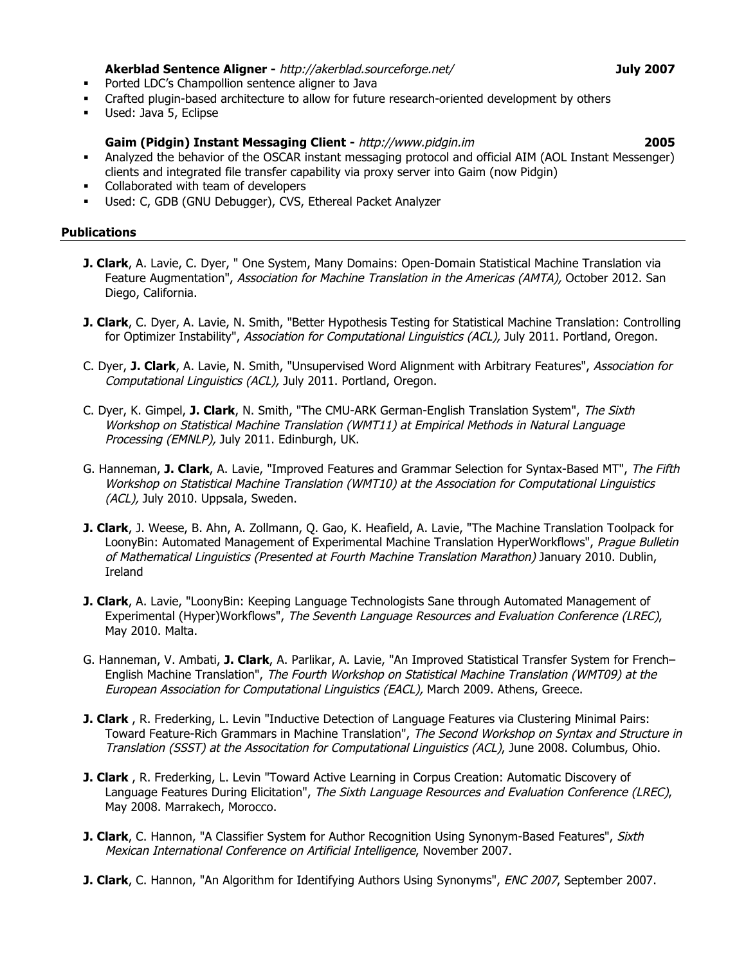### **Akerblad Sentence Aligner -** http://akerblad.sourceforge.net/ **July 2007**

- **•** Ported LDC's Champollion sentence aligner to Java
- Crafted plugin-based architecture to allow for future research-oriented development by others
- Used: Java 5, Eclipse

## **Gaim (Pidgin) Instant Messaging Client -** http://www.pidgin.im **2005**

- Analyzed the behavior of the OSCAR instant messaging protocol and official AIM (AOL Instant Messenger) clients and integrated file transfer capability via proxy server into Gaim (now Pidgin)
- Collaborated with team of developers
- Used: C, GDB (GNU Debugger), CVS, Ethereal Packet Analyzer

## **Publications**

- **J. Clark**, A. Lavie, C. Dyer, " One System, Many Domains: Open-Domain Statistical Machine Translation via Feature Augmentation", Association for Machine Translation in the Americas (AMTA), October 2012. San Diego, California.
- **J. Clark**, C. Dyer, A. Lavie, N. Smith, "Better Hypothesis Testing for Statistical Machine Translation: Controlling for Optimizer Instability", Association for Computational Linguistics (ACL), July 2011. Portland, Oregon.
- C. Dyer, **J. Clark**, A. Lavie, N. Smith, "Unsupervised Word Alignment with Arbitrary Features", Association for Computational Linguistics (ACL), July 2011. Portland, Oregon.
- C. Dyer, K. Gimpel, **J. Clark**, N. Smith, "The CMU-ARK German-English Translation System", The Sixth Workshop on Statistical Machine Translation (WMT11) at Empirical Methods in Natural Language Processing (EMNLP), July 2011. Edinburgh, UK.
- G. Hanneman, **J. Clark**, A. Lavie, "Improved Features and Grammar Selection for Syntax-Based MT", The Fifth Workshop on Statistical Machine Translation (WMT10) at the Association for Computational Linguistics (ACL), July 2010. Uppsala, Sweden.
- **J. Clark**, J. Weese, B. Ahn, A. Zollmann, Q. Gao, K. Heafield, A. Lavie, "The Machine Translation Toolpack for LoonyBin: Automated Management of Experimental Machine Translation HyperWorkflows", Prague Bulletin of Mathematical Linguistics (Presented at Fourth Machine Translation Marathon) January 2010. Dublin, Ireland
- **J. Clark**, A. Lavie, "LoonyBin: Keeping Language Technologists Sane through Automated Management of Experimental (Hyper)Workflows", The Seventh Language Resources and Evaluation Conference (LREC), May 2010. Malta.
- G. Hanneman, V. Ambati, **J. Clark**, A. Parlikar, A. Lavie, "An Improved Statistical Transfer System for French– English Machine Translation", The Fourth Workshop on Statistical Machine Translation (WMT09) at the European Association for Computational Linguistics (EACL), March 2009. Athens, Greece.
- **J. Clark** , R. Frederking, L. Levin "Inductive Detection of Language Features via Clustering Minimal Pairs: Toward Feature-Rich Grammars in Machine Translation", The Second Workshop on Syntax and Structure in Translation (SSST) at the Associtation for Computational Linguistics (ACL), June 2008. Columbus, Ohio.
- **J. Clark** , R. Frederking, L. Levin "Toward Active Learning in Corpus Creation: Automatic Discovery of Language Features During Elicitation", The Sixth Language Resources and Evaluation Conference (LREC), May 2008. Marrakech, Morocco.
- **J. Clark**, C. Hannon, "A Classifier System for Author Recognition Using Synonym-Based Features", Sixth Mexican International Conference on Artificial Intelligence, November 2007.
- **J. Clark**, C. Hannon, "An Algorithm for Identifying Authors Using Synonyms", ENC 2007, September 2007.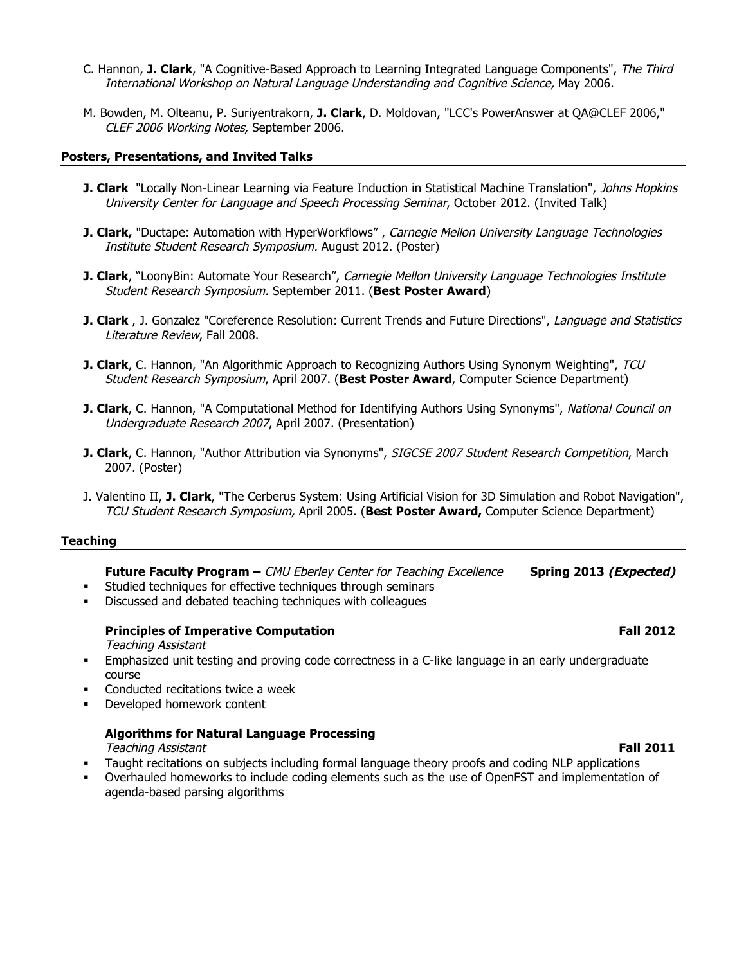- C. Hannon, **J. Clark**, "A Cognitive-Based Approach to Learning Integrated Language Components", The Third International Workshop on Natural Language Understanding and Cognitive Science, May 2006.
- M. Bowden, M. Olteanu, P. Suriyentrakorn, **J. Clark**, D. Moldovan, "LCC's PowerAnswer at QA@CLEF 2006," CLEF 2006 Working Notes, September 2006.

## **Posters, Presentations, and Invited Talks**

- **J. Clark** "Locally Non-Linear Learning via Feature Induction in Statistical Machine Translation", Johns Hopkins University Center for Language and Speech Processing Seminar, October 2012. (Invited Talk)
- **J. Clark,** "Ductape: Automation with HyperWorkflows", Carnegie Mellon University Language Technologies Institute Student Research Symposium. August 2012. (Poster)
- **J. Clark**, "LoonyBin: Automate Your Research", Carnegie Mellon University Language Technologies Institute Student Research Symposium. September 2011. (**Best Poster Award**)
- **J. Clark** , J. Gonzalez "Coreference Resolution: Current Trends and Future Directions", Language and Statistics Literature Review, Fall 2008.
- **J. Clark**, C. Hannon, "An Algorithmic Approach to Recognizing Authors Using Synonym Weighting", TCU Student Research Symposium, April 2007. (**Best Poster Award**, Computer Science Department)
- **J. Clark**, C. Hannon, "A Computational Method for Identifying Authors Using Synonyms", National Council on Undergraduate Research 2007, April 2007. (Presentation)
- **J. Clark**, C. Hannon, "Author Attribution via Synonyms", SIGCSE 2007 Student Research Competition, March 2007. (Poster)
- J. Valentino II, **J. Clark**, "The Cerberus System: Using Artificial Vision for 3D Simulation and Robot Navigation", TCU Student Research Symposium, April 2005. (**Best Poster Award,** Computer Science Department)

### **Teaching**

**Future Faculty Program –** CMU Eberley Center for Teaching Excellence **Spring 2013 (Expected)**

- Studied techniques for effective techniques through seminars
- Discussed and debated teaching techniques with colleagues

## **Principles of Imperative Computation Fall 2012 Fall 2012**

Teaching Assistant

- Emphasized unit testing and proving code correctness in a C-like language in an early undergraduate course
- Conducted recitations twice a week
- Developed homework content

## **Algorithms for Natural Language Processing**

Teaching Assistant **Fall 2011**

- Taught recitations on subjects including formal language theory proofs and coding NLP applications
- Overhauled homeworks to include coding elements such as the use of OpenFST and implementation of agenda-based parsing algorithms